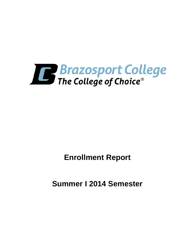

**Enrollment Report**

**Summer I 2014 Semester**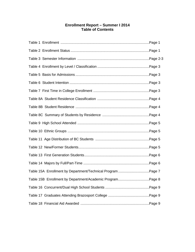# **Enrollment Report – Summer I 2014 Table of Contents**

| Table 15A Enrollment by Department/Technical Program Page 7 |  |
|-------------------------------------------------------------|--|
| Table 15B Enrollment by Department/Academic ProgramPage 8   |  |
|                                                             |  |
|                                                             |  |
|                                                             |  |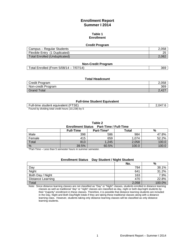# **Enrollment Report Summer I 2014**

#### **Table 1 Enrollment**

#### **Credit Program**

| Campus – Regular Students     | 2.058    |
|-------------------------------|----------|
| Flexible Entry (1 Duplicated) | つに<br>دے |
| Total Enrolled (Unduplicated) | 2,082    |

#### **Non-Credit Program**

| Total Enrolled (From $5/08/14 - 7/07/14$ )<br>369 |  |
|---------------------------------------------------|--|
|---------------------------------------------------|--|

### **Total Headcount**

| Credit Program     | 2.058 |
|--------------------|-------|
| Non-credit Program | 369   |
| Grand Total        | 2.427 |

#### **Full-time Student Equivalent**

| Full-time student equivalent (FTSE)                | 2.047.6 |
|----------------------------------------------------|---------|
| Found by dividing total credit hours (10,238) by 5 |         |

#### **Table 2**

#### **Enrollment Status Part-Time / Full-Time**

|               | <b>Full-Time</b> | Part-Time* | Total | %     |  |
|---------------|------------------|------------|-------|-------|--|
| Male          | 398              | 586        | 984   | 47.8% |  |
| Female        | 415              | 659        | 1,074 | 52.2% |  |
| Total         | 813              | 1.245      | 2,058 | 100.0 |  |
| $\frac{0}{0}$ | 39.5%            | 60.5%      | 100.0 | 100.6 |  |

\*Part-Time – Less than 5 semester hours in summer semester.

## **Enrollment Status Day Student / Night Student**

|                   | No.   | %      |
|-------------------|-------|--------|
| Day               | 784   | 38.1%  |
| Night             | 641   | 31.2%  |
| Both Day / Night  | 163   | 7.9%   |
| Distance Learning | 470   | 22.8%  |
| Total             | 2,058 | 100.0% |

Note: Since distance learning classes are not classified as "Day" or "Night" classes, students enrolled in distance learning classes as well as traditional "day" or "night" classes are classified as day, night or both day/night students by their "majority" enrollment in these classes. Therefore, it is possible that distance learning students are included in the Day, Night and Both Day/Night totals if they are taking these traditional classes along with a distance learning class. However, students taking only distance learning classes will be classified as only distance learning students.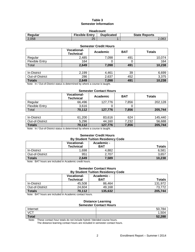## **Table 3 Semester Information**

| <b>Headcount</b>                                                              |          |  |       |  |  |
|-------------------------------------------------------------------------------|----------|--|-------|--|--|
| <b>Flexible Entry</b><br><b>Duplicated</b><br><b>State Reports</b><br>Regular |          |  |       |  |  |
| 2.058                                                                         | つに<br>دے |  | 2.083 |  |  |

| <b>Semester Credit Hours</b> |                                        |          |            |               |  |
|------------------------------|----------------------------------------|----------|------------|---------------|--|
|                              | <b>Vocational-</b><br><b>Technical</b> | Academic | <b>BAT</b> | <b>Totals</b> |  |
| Regular                      | 2,485                                  | 7,098    | 491        | 10,074        |  |
| <b>Flexible Entry</b>        | 164                                    |          | 0          | 164           |  |
| Total                        | 2,649                                  | 7,098    | 491        | 10,238        |  |
|                              |                                        |          |            |               |  |
| In-District                  | 2,199                                  | 4,461    | 39         | 6,699         |  |
| Out-of-District              | 286                                    | 2,637    | 452        | 3,375         |  |
| <b>Totals</b>                | 2,649                                  | 7,098    | 491        | 10,238        |  |

Note: In / Out-of-District status is determined by where a course is taught.

#### **Semester Contact Hours**

|                       | <b>Vocational-</b><br><b>Technical</b> | Academic | BAT   | Totals  |
|-----------------------|----------------------------------------|----------|-------|---------|
| Regular               | 66.496                                 | 127.776  | 7.856 | 202.128 |
| <b>Flexible Entry</b> | 3.616                                  |          |       |         |
| Total                 | 70,112                                 | 127.776  | 7,856 | 205,744 |

| In-District     | 1,200<br>61. | 83,616         | 624   | 145.440 |
|-----------------|--------------|----------------|-------|---------|
| Out-of-District | 5,296        | .160<br>44.    | 7.232 | 56.688  |
| <b>Totals</b>   | 70,112       | .27,776<br>127 | 7,856 | 205,744 |

Note: In / Out-of-District status is determined by where a course is taught.

# **Semester Credit Hours**

| <b>By Student Tuition Residency Code</b> |                                 |                          |               |  |
|------------------------------------------|---------------------------------|--------------------------|---------------|--|
|                                          | <b>Vocational-</b><br>Technical | Academic -<br><b>BAT</b> | <b>Totals</b> |  |
| In-District                              | 1,698                           | 4.882                    | 6,581         |  |
| Out-of-District                          | 951                             | 2.707                    | 3,657         |  |
| <b>Totals</b>                            | 2,649                           | 7,589                    | 10,238        |  |

Note: BAT hours are included in Academic credit hours.

#### **Semester Contact Hours By Student Tuition Residency Code**

|                 | <b>Vocational-</b><br><b>Technical</b> | Academic -<br>BAT | <b>Totals</b> |
|-----------------|----------------------------------------|-------------------|---------------|
| In-District     | 45,508                                 | 86,464            | 131.972       |
| Out-of-District | 24.604                                 | 49,168            | 73.772        |
| <b>Totals</b>   | 70,112                                 | 135.632           | 205,744       |

Note: BAT hours are included in Academic contact hours.

#### **Distance Learning Semester Contact Hours**

| __________________ |             |  |  |  |
|--------------------|-------------|--|--|--|
| Internet           | ,784<br>50, |  |  |  |
| <b>VCT</b>         | 1,504       |  |  |  |
| <b>Total</b>       | 52,288      |  |  |  |

Note: These contact hour totals do not include hybrid / blended course hours.

The distance learning contact hours are included in semester contact hours.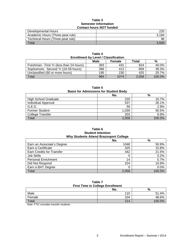#### **Table 3 Semester Information Contact hours** *NOT* **funded**

| Developmental Hours               | 220   |
|-----------------------------------|-------|
| Academic Hours (Three-peat rule)  | 3.184 |
| Technical Hours (Three-peat rule) | 96    |
| $\tau$ <sub>otal</sub>            | 3.500 |

| <b>Enrollment by Level / Classification</b> |     |      |       |        |  |  |
|---------------------------------------------|-----|------|-------|--------|--|--|
| Male<br>%<br>Total<br>Female                |     |      |       |        |  |  |
| Freshman: First Yr (less than 24 hours)     | 393 | 431  | 824   | 40.0%  |  |  |
| Sophomore: Second Yr (24-59 hours)          | 396 | 413  | 809   | 39.3%  |  |  |
| Unclassified (60 or more hours)             | 195 | 230  | 425   | 20.7%  |  |  |
| <b>Total</b>                                | 984 | 1074 | 2.058 | 100.0% |  |  |

**Table 4**

## **Table 5**

#### **Basis for Admissions for Student Body**

|                             | No.   | %      |
|-----------------------------|-------|--------|
| <b>High School Graduate</b> | 220   | 10.7%  |
| Individual Approval         | 537   | 26.1%  |
| G.E.D.                      | 59    | 2.9%   |
| <b>Former Student</b>       | 1,039 | 50.5%  |
| <b>College Transfer</b>     | 203   | 9.9%   |
| Total                       | 2,058 | 100.0% |

#### **Table 6 Student Intention Why Students Attend Brazosport College**

|                                  | No.   | $\%$   |
|----------------------------------|-------|--------|
| Earn an Associate's Degree       | 1048  | 50.9%  |
| Earn a Certificate               | 325   | 15.8%  |
| <b>Earn Credits for Transfer</b> | 442   | 21.5%  |
| Job Skills                       | 5     | 0.2%   |
| <b>Personal Enrichment</b>       | 14    | 0.7%   |
| Did Not Respond                  | 224   | 10.9%  |
| Earn a BAT Degree                |       | 0.0%   |
| Total                            | 2,058 | 100.0% |

#### **Table 7 First Time in College Enrollment**

| <u>rast rang ar oonced Enromnont</u> |     |        |  |  |
|--------------------------------------|-----|--------|--|--|
|                                      | No. | %      |  |  |
| Male                                 | 110 | 51.4%  |  |  |
| Female                               | 104 | 48.6%  |  |  |
| Total                                | 214 | 100.0% |  |  |

Note: FTIC excludes transfer students.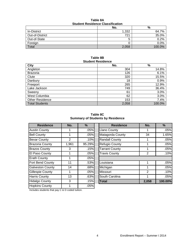| <b>Student Residence Classification</b> |       |         |  |  |
|-----------------------------------------|-------|---------|--|--|
|                                         | No.   | %       |  |  |
| In-District                             | 1,332 | 64.7%   |  |  |
| Out-of-District                         | 721   | 35.0%   |  |  |
| Out-of-State                            | b     | 0.2%    |  |  |
| Foreign                                 |       | $0.0\%$ |  |  |
| <b>Total</b>                            | 2,058 | 100.0%  |  |  |

## **Table 8A Student Residence Classification**

#### **Table 8B Student Residence**

| <b>City</b>            | No.   | $\%$   |
|------------------------|-------|--------|
| Angleton               | 304   | 14.8%  |
| <b>Brazoria</b>        | 126   | 6.1%   |
| Clute                  | 320   | 15.5%  |
| Danbury                | 18    | 0.9%   |
| Freeport               | 265   | 12.9%  |
| Lake Jackson           | 749   | 36.4%  |
| Sweeny                 | 61    | 3.0%   |
| West Columbia          | 62    | 3.0%   |
| <b>Other Residence</b> | 153   | 7.4%   |
| <b>Total Students</b>  | 2,058 | 100.0% |

**Table 8C Summary of Students by Residence**

| <b>Residence</b>        | No.   | %      |
|-------------------------|-------|--------|
| <b>Austin County</b>    |       | .05%   |
| <b>Bell County</b>      | 1     | .05%   |
| <b>Bexar County</b>     | 2     | .10%   |
| <b>Brazoria County</b>  | 1,961 | 95.29% |
| <b>Brazos County</b>    | 3     | .15%   |
| El Paso County          | 1     | .05%   |
| <b>Erath County</b>     | 1     | .05%   |
| Fort Bend County        | 11    | .53%   |
| <b>Galveston County</b> | 14    | .68%   |
| <b>Gillespie County</b> | 1     | .05%   |
| <b>Harris County</b>    | 13    | .63%   |
| <b>Hidalgo County</b>   | 3     | .15%   |
| <b>Hopkins County</b>   | 1     | .05%   |

| <b>Residence</b>       | No.   | %      | <b>Residence</b>      | No.            | $\%$    |
|------------------------|-------|--------|-----------------------|----------------|---------|
| <b>Austin County</b>   |       | .05%   | <b>Llano County</b>   |                | .05%    |
| <b>Bell County</b>     |       | .05%   | Matagorda County      | 34             | 1.65%   |
| <b>Bexar County</b>    | 2     | .10%   | <b>Randall County</b> |                | .05%    |
| <b>Brazoria County</b> | 1,961 | 95.29% | Refugio County        |                | .05%    |
| <b>Brazos County</b>   | 3     | .15%   | <b>Tarrant County</b> |                | .05%    |
| El Paso County         |       | .05%   | <b>Travis County</b>  | 2              | .10%    |
| <b>Erath County</b>    |       | .05%   |                       |                |         |
| Fort Bend County       | 11    | .53%   | Louisiana             |                | .05%    |
| Galveston County       | 14    | .68%   | Michigan              |                | .05%    |
| Gillespie County       |       | .05%   | Missouri              | $\mathfrak{p}$ | .10%    |
| Harris County          | 13    | .63%   | South Carolina        |                | .05%    |
| <b>Hidalgo County</b>  | 3     | .15%   | <b>Total</b>          | 2,058          | 100.00% |
|                        |       |        |                       |                |         |

Includes students that pay C & D coded tuition.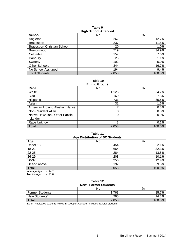| <b>School</b>                      | No.   | %      |
|------------------------------------|-------|--------|
| Angleton                           | 262   | 12.7%  |
| <b>Brazosport</b>                  | 237   | 11.5%  |
| <b>Brazosport Christian School</b> | 20    | 1.0%   |
| Brazoswood                         | 719   | 34.9%  |
| Columbia                           | 157   | 7.6%   |
| Danbury                            | 23    | 1.1%   |
| Sweeny                             | 102   | 5.0%   |
| <b>Other Schools</b>               | 344   | 16.7%  |
| No School Assigned                 | 194   | 9.4%   |
| <b>Total Students</b>              | 2,058 | 100.0% |

**Table 9 High School Attended**

**Table 10**

| <b>Ethnic Groups</b>             |       |        |  |  |  |
|----------------------------------|-------|--------|--|--|--|
| Race                             | No.   | %      |  |  |  |
| White                            | 1,125 | 54.7%  |  |  |  |
| <b>Black</b>                     | 160   | 7.8%   |  |  |  |
| Hispanic                         | 731   | 35.5%  |  |  |  |
| Asian                            | 32    | 1.6%   |  |  |  |
| American Indian / Alaskan Native | 7     | 0.3%   |  |  |  |
| Non-Resident Alien               | 0     | 0.0%   |  |  |  |
| Native Hawaiian / Other Pacific  | 0     | 0.0%   |  |  |  |
| <b>Islander</b>                  |       |        |  |  |  |
| Race Unknown                     | 3     | 0.1%   |  |  |  |
| Total                            | 2,058 | 100.0% |  |  |  |

### **Table 11 Age Distribution of BC Students**

|                       | $1.90$ Pictribution of $20$ Cluberties |        |
|-----------------------|----------------------------------------|--------|
| Age                   | No.                                    | %      |
| Under 18              | 454                                    | 22.1%  |
| $18 - 21$             | 664                                    | 32.3%  |
| 22-25                 | 284                                    | 13.8%  |
| 26-29                 | 208                                    | 10.1%  |
| 30-37                 | 256                                    | 12.4%  |
| 38 and above          | 192                                    | 9.3%   |
| Total                 | 2,058                                  | 100.0% |
| $-212$<br>Avorage Age |                                        |        |

Average  $Age = 24.2$ Median Age  $= 21.0$ 

#### **Table 12 New / Former Students**

| $195W / 1$ of the other than |       |            |  |  |  |
|------------------------------|-------|------------|--|--|--|
|                              | No.   | %          |  |  |  |
| <b>Former Students</b>       | .763  | 7%<br>85.7 |  |  |  |
| New Students*                | 295   | 14.3%      |  |  |  |
| Total                        | 2,058 | $100.0\%$  |  |  |  |

Note: \*Indicates students new to Brazosport College--includes transfer students.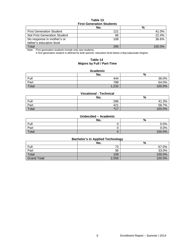#### **Table 13 First Generation Students**

|                                 | No. | %      |  |  |  |
|---------------------------------|-----|--------|--|--|--|
| <b>First Generation Student</b> | 121 | 41.0%  |  |  |  |
| Not First Generation Student    | 66  | 22.4%  |  |  |  |
| No response in mother's or      | 108 | 36.6%  |  |  |  |
| father's education level        |     |        |  |  |  |
| Total                           | 295 | 100.0% |  |  |  |

Note: First generation students include only new students.

A first generation student is defined by both parents' education level below a Baccalaureate Degree.

#### **Table 14 Majors by Full / Part-Time**

#### **Academic**

|       | No.  | %      |
|-------|------|--------|
| Full  | 444  | 36.0%  |
| Part  | 788  | 64.0%  |
| Total | ,232 | 100.0% |

| <b>Vocational - Technical</b> |  |
|-------------------------------|--|
|-------------------------------|--|

|       | No.             | %      |
|-------|-----------------|--------|
| Full  | 296             | .3%    |
| Part  | 42 <sup>1</sup> | 58.7%  |
| Total | 747             | 100.0% |

#### **Undecided – Academic**

|       | No. | $\Omega$<br>70 |
|-------|-----|----------------|
| Full  |     | 0.0%           |
| Part  |     | 0.0%           |
| Total |     | 100.0%         |

## **Bachelor's in Applied Technology**

|                    | No.   | %      |
|--------------------|-------|--------|
| Full               | 73    | 67.0%  |
| Part               | 36    | 33.0%  |
| Total              | 109   | 100.0% |
| <b>Grand Total</b> | 2,058 | 100.0% |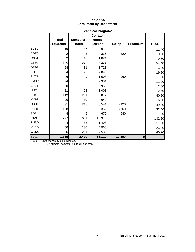## **Table 15A Enrollment by Department**

|              |                 |                 | <b>Contact</b> |        |              |             |
|--------------|-----------------|-----------------|----------------|--------|--------------|-------------|
|              | <b>Total</b>    | <b>Semester</b> | <b>Hours</b>   |        |              |             |
|              | <b>Students</b> | <b>Hours</b>    | Lec/Lab        | Co-op  | Practicum    | <b>FTSE</b> |
| <b>BUSG</b>  | $\overline{19}$ | $\overline{57}$ | 912            |        |              | 11.40       |
| <b>CDEC</b>  | $\overline{2}$  | 3               | 336            | 320    |              | 0.60        |
| <b>CNBT</b>  | 32              | 48              | 1,024          |        |              | 9.60        |
| <b>CTEC</b>  | 125             | 272             | 5,424          |        |              | 54.40       |
| <b>DFTG</b>  | 54              | 81              | 1,728          |        |              | 16.20       |
| <b>ELPT</b>  | 64              | 96              | 2,048          |        |              | 19.20       |
| ELTN         | 6               | $\overline{9}$  | 1,008          | 960    |              | 1.80        |
| <b>EMSP</b>  | 24              | 56              | 2,304          |        |              | 11.20       |
| <b>EPCT</b>  | 20              | 60              | 960            |        |              | 12.00       |
| <b>HITT</b>  | 21              | 63              | 1,008          |        |              | 12.60       |
| <b>INTC</b>  | 112             | 201             | 3,872          |        |              | 40.20       |
| <b>MCHN</b>  | 20              | 30              | 640            |        |              | 6.00        |
| <b>OSHT</b>  | 91              | 246             | 8,544          | 5,120  |              | 49.20       |
| PFPB         | 108             | 162             | 8,352          | 5,760  |              | 32.40       |
| POFI         | 4               | 6               | 672            | 640    |              | 1.20        |
| <b>PTAC</b>  | 277             | 661             | 13,376         |        |              | 132.20      |
| <b>RNSG</b>  | 44              | 88              | 1,408          |        |              | 17.60       |
| <b>VNSG</b>  | 50              | 130             | 4,960          |        |              | 26.00       |
| <b>WLDG</b>  | 96              | 201             | 7,536          |        |              | 40.20       |
| <b>Total</b> | 1,169           | 2,470           | 66,112         | 12,800 | $\mathbf{0}$ |             |

Note: Enrollment may be duplicated.

FTSE = summer semester hours divided by 5.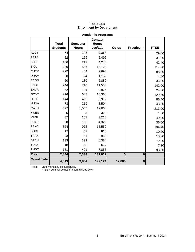## **Table 15B Enrollment by Department**

|                    | <b>Academic Programs</b>        |                                 |                                           |          |                  |             |  |  |
|--------------------|---------------------------------|---------------------------------|-------------------------------------------|----------|------------------|-------------|--|--|
|                    | <b>Total</b><br><b>Students</b> | <b>Semester</b><br><b>Hours</b> | <b>Contact</b><br><b>Hours</b><br>Lec/Lab | Co-op    | <b>Practicum</b> | <b>FTSE</b> |  |  |
| <b>ACCT</b>        | 74                              | 148                             | 2,368                                     |          |                  | 29.60       |  |  |
| <b>ARTS</b>        | 52                              | 156                             | 2,496                                     |          |                  | 31.20       |  |  |
| <b>BCIS</b>        | 106                             | 212                             | 4,240                                     |          |                  | 42.40       |  |  |
| <b>BIOL</b>        | 286                             | 586                             | 13,728                                    |          |                  | 117.20      |  |  |
| <b>CHEM</b>        | 222                             | 444                             | 9,696                                     |          |                  | 88.80       |  |  |
| <b>DRAM</b>        | 20                              | 24                              | 1,152                                     |          |                  | 4.80        |  |  |
| <b>ECON</b>        | 60                              | 180                             | 2,880                                     |          |                  | 36.00       |  |  |
| <b>ENGL</b>        | 244                             | 710                             | 11,536                                    |          |                  | 142.00      |  |  |
| <b>ENVR</b>        | 62                              | 124                             | 2,976                                     |          |                  | 24.80       |  |  |
| <b>GOVT</b>        | 216                             | 648                             | 10,368                                    |          |                  | 129.60      |  |  |
| <b>HIST</b>        | 144                             | 432                             | 6,912                                     |          |                  | 86.40       |  |  |
| <b>HUMA</b>        | 73                              | 219                             | 3,504                                     |          |                  | 43.80       |  |  |
| <b>MATH</b>        | 427                             | 1,065                           | 19,060                                    |          |                  | 213.00      |  |  |
| <b>MUEN</b>        | 5                               | 5                               | 320                                       |          |                  | 1.00        |  |  |
| <b>MUSI</b>        | 67                              | 201                             | 3,216                                     |          |                  | 40.20       |  |  |
| <b>PHYS</b>        | 90                              | 180                             | 4,320                                     |          |                  | 36.00       |  |  |
| <b>PSYC</b>        | 324                             | 972                             | 15,552                                    |          |                  | 194.40      |  |  |
| SOCI               | 17                              | 51                              | 816                                       |          |                  | 10.20       |  |  |
| <b>SPAN</b>        | 23                              | 51                              | 960                                       |          |                  | 10.20       |  |  |
| <b>SPCH</b>        | 133                             | 399                             | 6,384                                     |          |                  | 79.80       |  |  |
| <b>TECA</b>        | 18                              | 36                              | 672                                       |          |                  | 7.20        |  |  |
| <b>TMGT</b>        | 181                             | 491                             | 7,856                                     |          |                  | 98.20       |  |  |
| <b>Total</b>       | 2,844                           | 7,334                           | 131,012                                   | $\bf{0}$ | $\boldsymbol{0}$ |             |  |  |
| <b>Grand Total</b> | 4,013                           | 9,804                           | 197,124                                   | 12,800   | $\boldsymbol{0}$ |             |  |  |

Note: Enrollment may be duplicated.

FTSE = summer semester hours divided by 5.